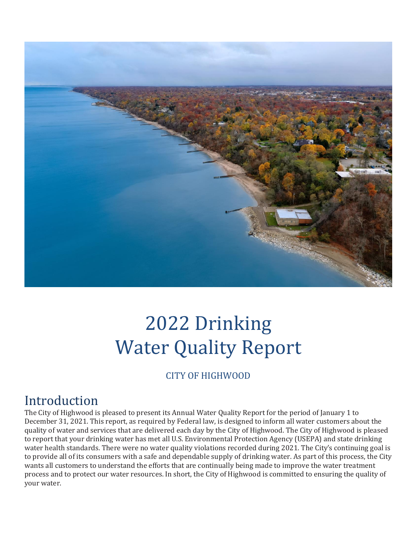

# 2022 Drinking Water Quality Report

### CITY OF HIGHWOOD

## **Introduction**

The City of Highwood is pleased to present its Annual Water Quality Report for the period of January 1 to December 31, 2021. This report, as required by Federal law, is designed to inform all water customers about the quality of water and services that are delivered each day by the City of Highwood. The City of Highwood is pleased to report that your drinking water has met all U.S. Environmental Protection Agency (USEPA) and state drinking water health standards. There were no water quality violations recorded during 2021. The City's continuing goal is to provide all of its consumers with a safe and dependable supply of drinking water. As part of this process, the City wants all customers to understand the efforts that are continually being made to improve the water treatment process and to protect our water resources. In short, the City of Highwood is committed to ensuring the quality of your water.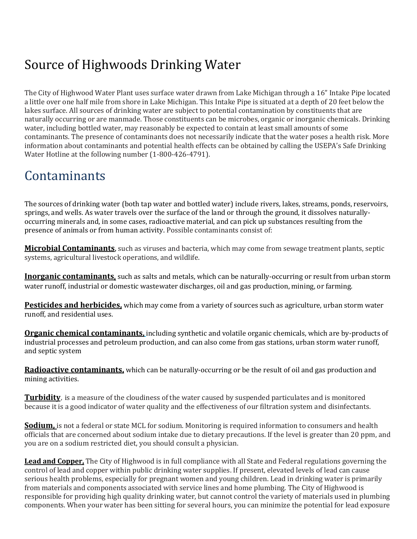# Source of Highwoods Drinking Water

The City of Highwood Water Plant uses surface water drawn from Lake Michigan through a 16" Intake Pipe located a little over one half mile from shore in Lake Michigan. This Intake Pipe is situated at a depth of 20 feet below the lakes surface. All sources of drinking water are subject to potential contamination by constituents that are naturally occurring or are manmade. Those constituents can be microbes, organic or inorganic chemicals. Drinking water, including bottled water, may reasonably be expected to contain at least small amounts of some contaminants. The presence of contaminants does not necessarily indicate that the water poses a health risk. More information about contaminants and potential health effects can be obtained by calling the USEPA's Safe Drinking Water Hotline at the following number (1-800-426-4791).

# **Contaminants**

The sources of drinking water (both tap water and bottled water) include rivers, lakes, streams, ponds, reservoirs, springs, and wells. As water travels over the surface of the land or through the ground, it dissolves naturallyoccurring minerals and, in some cases, radioactive material, and can pick up substances resulting from the presence of animals or from human activity. Possible contaminants consist of:

**Microbial Contaminants**, such as viruses and bacteria, which may come from sewage treatment plants, septic systems, agricultural livestock operations, and wildlife.

**Inorganic contaminants**, such as salts and metals, which can be naturally-occurring or result from urban storm water runoff, industrial or domestic wastewater discharges, oil and gas production, mining, or farming.

**Pesticides and herbicides,** which may come from a variety of sources such as agriculture, urban storm water runoff, and residential uses.

**Organic chemical contaminants,** including synthetic and volatile organic chemicals, which are by-products of industrial processes and petroleum production, and can also come from gas stations, urban storm water runoff, and septic system

**Radioactive contaminants,** which can be naturally-occurring or be the result of oil and gas production and mining activities.

**Turbidity**, is a measure of the cloudiness of the water caused by suspended particulates and is monitored because it is a good indicator of water quality and the effectiveness of our filtration system and disinfectants.

**Sodium,** is not a federal or state MCL for sodium. Monitoring is required information to consumers and health officials that are concerned about sodium intake due to dietary precautions. If the level is greater than 20 ppm, and you are on a sodium restricted diet, you should consult a physician.

**Lead and Copper,** The City of Highwood is in full compliance with all State and Federal regulations governing the control of lead and copper within public drinking water supplies. If present, elevated levels of lead can cause serious health problems, especially for pregnant women and young children. Lead in drinking water is primarily from materials and components associated with service lines and home plumbing. The City of Highwood is responsible for providing high quality drinking water, but cannot control the variety of materials used in plumbing components. When your water has been sitting for several hours, you can minimize the potential for lead exposure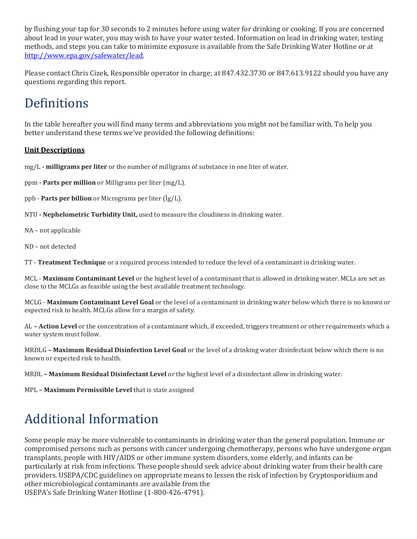by flushing your tap for 30 seconds to 2 minutes before using water for drinking or cooking. If you are concerned about lead in your water, you may wish to have your water tested. Information on lead in drinking water, testing methods, and steps you can take to minimize exposure is available from the Safe Drinking Water Hotline or at [http://www.epa.gov/safewater/lead.](http://www.epa.gov/safewater/lead)

Please contact Chris Cizek, Responsible operator in charge; at 847.432.3730 or 847.613.9122 should you have any questions regarding this report.

# Definitions

In the table hereafter you will find many terms and abbreviations you might not be familiar with. To help you better understand these terms we've provided the following definitions:

### **Unit Descriptions**

mg/L **- milligrams per liter** or the number of milligrams of substance in one liter of water.

ppm **- Parts per million** or Milligrams per liter (mg/L).

ppb - **Parts per billion** or Micrograms per liter (Ìg/L).

NTU **- Nephelometric Turbidity Unit,** used to measure the cloudiness in drinking water.

NA – not applicable

ND – not detected

TT - **Treatment Technique** or a required process intended to reduce the level of a contaminant in drinking water.

MCL - **Maximum Contaminant Level** or the highest level of a contaminant that is allowed in drinking water. MCLs are set as close to the MCLGs as feasible using the best available treatment technology.

MCLG - **Maximum Contaminant Level Goal** or the level of a contaminant in drinking water below which there is no known or expected risk to health. MCLGs allow for a margin of safety.

AL **– Action Level** or the concentration of a contaminant which, if exceeded, triggers treatment or other requirements which a water system must follow.

MRDLG **– Maximum Residual Disinfection Level Goal** or the level of a drinking water disinfectant below which there is no known or expected risk to health.

MRDL **– Maximum Residual Disinfectant Level** or the highest level of a disinfectant allow in drinking water.

MPL **– Maximum Permissible Level** that is state assigned

# Additional Information

Some people may be more vulnerable to contaminants in drinking water than the general population. Immune or compromised persons such as persons with cancer undergoing chemotherapy, persons who have undergone organ transplants, people with HIV/AIDS or other immune system disorders, some elderly, and infants can be particularly at risk from infections. These people should seek advice about drinking water from their health care providers. USEPA/CDC guidelines on appropriate means to lessen the risk of infection by Cryptosporidium and other microbiological contaminants are available from the USEPA's Safe Drinking Water Hotline (1-800-426-4791).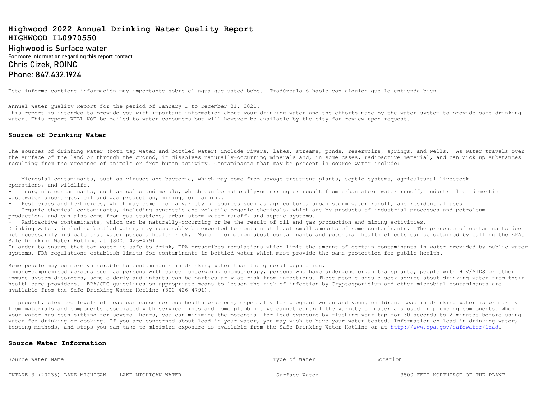### **Highwood 2022 Annual Drinking Water Quality Report HIGHWOOD IL0970550**

**Highwood is Surface water For more information regarding this report contact: Chris Cizek, ROINC Phone: 847.432.1924**

Este informe contiene información muy importante sobre el agua que usted bebe. Tradúzcalo ó hable con alguien que lo entienda bien.

Annual Water Quality Report for the period of January 1 to December 31, 2021.

This report is intended to provide you with important information about your drinking water and the efforts made by the water system to provide safe drinking water. This report WILL NOT be mailed to water consumers but will however be available by the city for review upon request.

#### **Source of Drinking Water**

The sources of drinking water (both tap water and bottled water) include rivers, lakes, streams, ponds, reservoirs, springs, and wells. As water travels over the surface of the land or through the ground, it dissolves naturally-occurring minerals and, in some cases, radioactive material, and can pick up substances resulting from the presence of animals or from human activity. Contaminants that may be present in source water include:

- Microbial contaminants, such as viruses and bacteria, which may come from sewage treatment plants, septic systems, agricultural livestock operations, and wildlife.

- Inorganic contaminants, such as salts and metals, which can be naturally-occurring or result from urban storm water runoff, industrial or domestic wastewater discharges, oil and gas production, mining, or farming.

- Pesticides and herbicides, which may come from a variety of sources such as agriculture, urban storm water runoff, and residential uses.

- Organic chemical contaminants, including synthetic and volatile organic chemicals, which are by-products of industrial processes and petroleum production, and can also come from gas stations, urban storm water runoff, and septic systems.

- Radioactive contaminants, which can be naturally-occurring or be the result of oil and gas production and mining activities.

Drinking water, including bottled water, may reasonably be expected to contain at least small amounts of some contaminants. The presence of contaminants does not necessarily indicate that water poses a health risk. More information about contaminants and potential health effects can be obtained by calling the EPAs Safe Drinking Water Hotline at (800) 426-4791.

In order to ensure that tap water is safe to drink, EPA prescribes regulations which limit the amount of certain contaminants in water provided by public water systems. FDA regulations establish limits for contaminants in bottled water which must provide the same protection for public health.

Some people may be more vulnerable to contaminants in drinking water than the general population.

Immuno-compromised persons such as persons with cancer undergoing chemotherapy, persons who have undergone organ transplants, people with HIV/AIDS or other immune system disorders, some elderly and infants can be particularly at risk from infections. These people should seek advice about drinking water from their health care providers. EPA/CDC guidelines on appropriate means to lessen the risk of infection by Cryptosporidium and other microbial contaminants are available from the Safe Drinking Water Hotline (800-426-4791).

If present, elevated levels of lead can cause serious health problems, especially for pregnant women and young children. Lead in drinking water is primarily from materials and components associated with service lines and home plumbing. We cannot control the variety of materials used in plumbing components. When your water has been sitting for several hours, you can minimize the potential for lead exposure by flushing your tap for 30 seconds to 2 minutes before using water for drinking or cooking. If you are concerned about lead in your water, you may wish to have your water tested. Information on lead in drinking water, testing methods, and steps you can take to minimize exposure is available from the Safe Drinking Water Hotline or at [http://www.epa.gov/safewater/lead.](http://www.epa.gov/safewater/lead)

#### **Source Water Information**

Source Water Name Type of Water Location

INTAKE 3 (20235) LAKE MICHIGAN LAKE MICHIGAN WATER Surface Water 3500 FEET NORTHEAST OF THE PLANT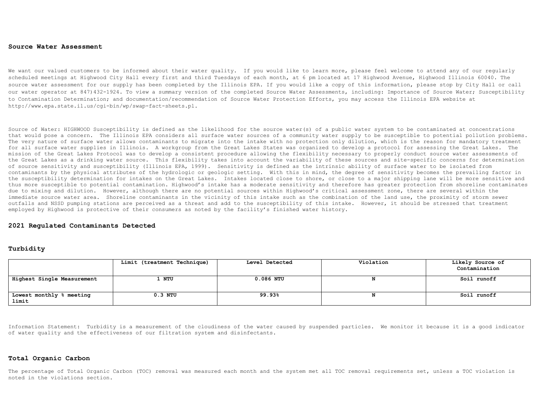#### **Source Water Assessment**

We want our valued customers to be informed about their water quality. If you would like to learn more, please feel welcome to attend any of our regularly scheduled meetings at Highwood City Hall every first and third Tuesdays of each month, at 6 pm located at 17 Highwood Avenue, Highwood Illinois 60040. The source water assessment for our supply has been completed by the Illinois EPA. If you would like a copy of this information, please stop by City Hall or call our water operator at 847)432-1924. To view a summary version of the completed Source Water Assessments, including: Importance of Source Water; Susceptibility to Contamination Determination; and documentation/recommendation of Source Water Protection Efforts, you may access the Illinois EPA website at http://www.epa.state.il.us/cgi-bin/wp/swap-fact-sheets.pl.

Source of Water: HIGHWOOD Susceptibility is defined as the likelihood for the source water(s) of a public water system to be contaminated at concentrations that would pose a concern. The Illinois EPA considers all surface water sources of a community water supply to be susceptible to potential pollution problems. The very nature of surface water allows contaminants to migrate into the intake with no protection only dilution, which is the reason for mandatory treatment for all surface water supplies in Illinois. A workgroup from the Great Lakes States was organized to develop a protocol for assessing the Great Lakes. The mission of the Great Lakes Protocol was to develop a consistent procedure allowing the flexibility necessary to properly conduct source water assessments of the Great Lakes as a drinking water source. This flexibility takes into account the variability of these sources and site-specific concerns for determination of source sensitivity and susceptibility (Illinois EPA, 1999). Sensitivity is defined as the intrinsic ability of surface water to be isolated from contaminants by the physical attributes of the hydrologic or geologic setting. With this in mind, the degree of sensitivity becomes the prevailing factor in the susceptibility determination for intakes on the Great Lakes. Intakes located close to shore, or close to a major shipping lane will be more sensitive and thus more susceptible to potential contamination. Highwood's intake has a moderate sensitivity and therefore has greater protection from shoreline contaminates due to mixing and dilution. However, although there are no potential sources within Highwood's critical assessment zone, there are several within the immediate source water area. Shoreline contaminants in the vicinity of this intake such as the combination of the land use, the proximity of storm sewer outfalls and NSSD pumping stations are perceived as a threat and add to the susceptibility of this intake. However, it should be stressed that treatment employed by Highwood is protective of their consumers as noted by the facility's finished water history.

#### **2021 Regulated Contaminants Detected**

#### **Turbidity**

|                                   | Limit (treatment Technique) | Level Detected | Violation | Likely Source of |  |
|-----------------------------------|-----------------------------|----------------|-----------|------------------|--|
|                                   |                             |                |           | Contamination    |  |
| Highest Single Measurement        | 1 NTU                       | $0.086$ NTU    |           | Soil runoff      |  |
| Lowest monthly % meeting<br>limit | $0.3$ NTU                   | 99.93%         |           | Soil runoff      |  |

Information Statement: Turbidity is a measurement of the cloudiness of the water caused by suspended particles. We monitor it because it is a good indicator of water quality and the effectiveness of our filtration system and disinfectants.

#### **Total Organic Carbon**

The percentage of Total Organic Carbon (TOC) removal was measured each month and the system met all TOC removal requirements set, unless a TOC violation is noted in the violations section.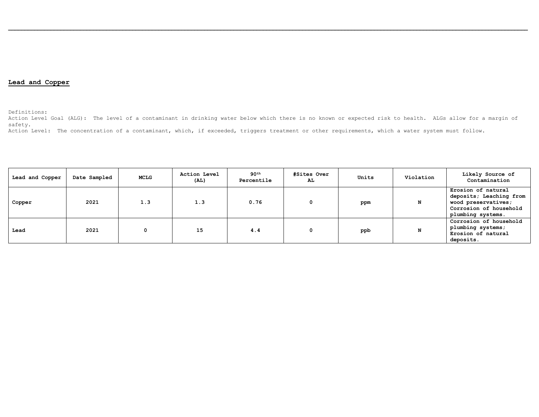### **Lead and Copper**

Definitions:

Action Level Goal (ALG): The level of a contaminant in drinking water below which there is no known or expected risk to health. ALGs allow for a margin of safety.

Action Level: The concentration of a contaminant, which, if exceeded, triggers treatment or other requirements, which a water system must follow.

| Lead and Copper | Date Sampled | MCLG | Action Level<br>(AL) | 90 <sup>th</sup><br>Percentile | #Sites Over<br>AL. | Units | Violation | Likely Source of<br>Contamination                                                                                   |
|-----------------|--------------|------|----------------------|--------------------------------|--------------------|-------|-----------|---------------------------------------------------------------------------------------------------------------------|
| Copper          | 2021         | 1.3  | 1.3                  | 0.76                           |                    | ppm   | N         | Erosion of natural<br>deposits; Leaching from<br>wood preservatives;<br>Corrosion of household<br>plumbing systems. |
| Lead            | 2021         | 0    | 15                   | 4.4                            |                    | ppb   | N         | Corrosion of household<br>plumbing systems;<br>Erosion of natural<br>deposits.                                      |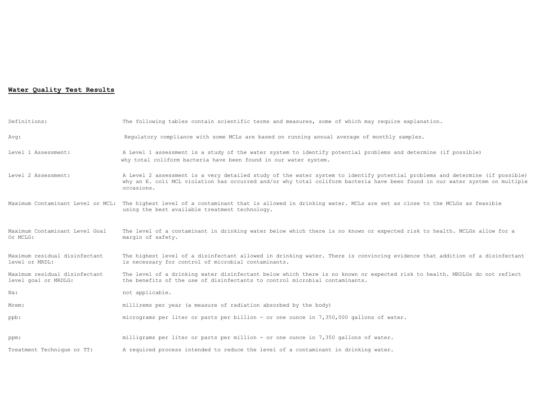### **Water Quality Test Results**

| Definitions:                                          | The following tables contain scientific terms and measures, some of which may require explanation.                                                                                                                                                                         |
|-------------------------------------------------------|----------------------------------------------------------------------------------------------------------------------------------------------------------------------------------------------------------------------------------------------------------------------------|
| Avq:                                                  | Requlatory compliance with some MCLs are based on running annual average of monthly samples.                                                                                                                                                                               |
| Level 1 Assessment:                                   | A Level 1 assessment is a study of the water system to identify potential problems and determine (if possible)<br>why total coliform bacteria have been found in our water system.                                                                                         |
| Level 2 Assessment:                                   | A Level 2 assessment is a very detailed study of the water system to identify potential problems and determine (if possible)<br>why an E. coli MCL violation has occurred and/or why total coliform bacteria have been found in our water system on multiple<br>occasions. |
|                                                       | Maximum Contaminant Level or MCL: The highest level of a contaminant that is allowed in drinking water. MCLs are set as close to the MCLGs as feasible<br>using the best available treatment technology.                                                                   |
| Maximum Contaminant Level Goal<br>Or MCLG:            | The level of a contaminant in drinking water below which there is no known or expected risk to health. MCLGs allow for a<br>margin of safety.                                                                                                                              |
| Maximum residual disinfectant<br>level or MRDL:       | The highest level of a disinfectant allowed in drinking water. There is convincing evidence that addition of a disinfectant<br>is necessary for control of microbial contaminants.                                                                                         |
| Maximum residual disinfectant<br>level goal or MRDLG: | The level of a drinking water disinfectant below which there is no known or expected risk to health. MRDLGs do not reflect<br>the benefits of the use of disinfectants to control microbial contaminants.                                                                  |
| Na:                                                   | not applicable.                                                                                                                                                                                                                                                            |
| Mrem:                                                 | millirems per year (a measure of radiation absorbed by the body)                                                                                                                                                                                                           |
| ppb:                                                  | micrograms per liter or parts per billion - or one ounce in 7,350,000 gallons of water.                                                                                                                                                                                    |
| ppm:                                                  | milligrams per liter or parts per million - or one ounce in 7,350 gallons of water.                                                                                                                                                                                        |
| Treatment Technique or TT:                            | A required process intended to reduce the level of a contaminant in drinking water.                                                                                                                                                                                        |